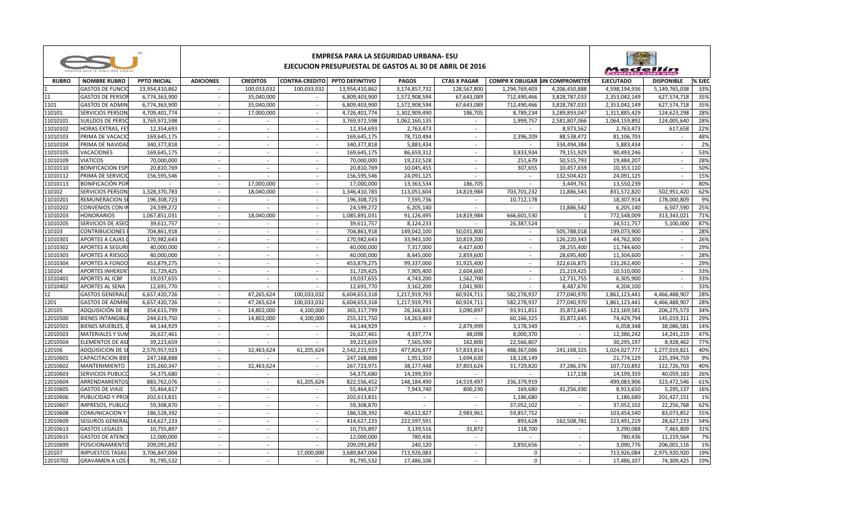| <b>PPTO INICIAL</b><br><b>ADICIONES</b><br><b>CREDITOS</b><br>CONTRA-CREDITO PPTO DEFINITIVO<br><b>PAGOS</b><br><b>CTAS X PAGAR</b><br><b>COMPR X OBLIGAR SIN COMPROMETER</b><br><b>EJECUTADO</b><br><b>DISPONIBLE</b><br><b>NOMBRE RUBRO</b><br><b>GASTOS DE FUNCI</b><br>100,033,032<br>3,174,857,732<br>128,567,800<br>1,294,769,403<br>4,598,194,936<br>13,954,410,862<br>100,033,032<br>13,954,410,862<br>4,206,450,888<br>5,149,765,038<br>$\sim$<br><b>GASTOS DE PERSO</b><br>1,572,908,594<br>712,490,466<br>2,353,042,149<br>6,774,363,900<br>35,040,000<br>6,809,403,900<br>67,643,089<br>3,828,787,033<br>627,574,718<br>$\sim$<br>$\sim$<br><b>GASTOS DE ADMIN</b><br>6,774,363,900<br>35,040,000<br>6,809,403,900<br>1,572,908,594<br>67,643,089<br>712.490.466<br>3,828,787,033<br>2,353,042,149<br>627,574,718<br>$\sim$<br>$\sim$<br>124,623,298<br><b>SERVICIOS PERSON</b><br>4,709,401,774<br>4,726,401,774<br>1,302,909,490<br>186,705<br>8,789,234<br>3,289,893,047<br>1,311,885,429<br>17,000,000<br>$\sim$<br>$\sim$<br><b>SUELDOS DE PERSO</b><br>3,769,972,598<br>1,062,160,135<br>1,999,757<br>2,581,807,066<br>1,064,159,892<br>124,005,640<br>3,769,972,598<br>$\sim$<br>$\sim$<br>$\sim$<br>$\sim$<br>617,658<br><b>HORAS EXTRAS, FES</b><br>12,354,693<br>12,354,693<br>2,763,473<br>8,973,562<br>2,763,473<br>$\sim$<br>$\sim$<br>$\sim$<br>$\sim$<br>$\overline{\phantom{a}}$<br>88,538,472<br>PRIMA DE VACACIO<br>169,645,175<br>169,645,175<br>78,710,494<br>2,396,209<br>81,106,703<br>$\sim$<br>$\sim$<br>$\sim$<br>$\sim$<br>$\overline{a}$<br>PRIMA DE NAVIDAI<br>340, 377, 818<br>340, 377, 818<br>5,883,434<br>334,494,384<br>5,883,434<br>$\sim$<br>$\sim$<br>$\sim$<br>$\sim$<br>$\overline{\phantom{a}}$<br><b>VACACIONES</b><br>169,645,175<br>169,645,175<br>86,659,312<br>3,833,934<br>79,151,929<br>90.493.246<br>53%<br>$\sim$<br>$\sim$<br>$\sim$<br>$\sim$<br>70,000,000<br>19,232,528<br><b>VIATICOS</b><br>70,000,000<br>251,679<br>50,515,793<br>19,484,207<br>28%<br>$\sim$<br>$\sim$<br>$\sim$<br>$\sim$<br>$\sim$<br><b>BONIFICACION ESP</b><br>20,810,769<br>20,810,769<br>10,045,455<br>307,655<br>10,457,659<br>10,353,110<br>50%<br>$\sim$<br>$\sim$<br>$\sim$<br>$\sim$<br>$\sim$<br>PRIMA DE SERVICIO<br>156,595,546<br>156,595,546<br>24,091,125<br>132,504,421<br>24,091,125<br>15%<br>$\sim$<br>$\sim$<br>$\sim$<br>$\sim$<br>$\overline{\phantom{a}}$<br>$\sim$<br>80%<br><b>BONIFICACIÓN POI</b><br>17.000.000<br>13.363.534<br>186.705<br>3.449.761<br>13,550,239<br>$\sim$<br>17.000.000<br>$\sim$<br><b>SERVICIOS PERSON</b><br>1,328,370,783<br>18,040,000<br>1,346,410,783<br>113,051,604<br>14,819,984<br>703,701,232<br>11,886,543<br>831,572,820<br>502,951,420<br>62%<br>$\sim$<br>$\sim$<br><b>REMUNERACION S</b><br>196,308,723<br>7,595,736<br>178,000,809<br>9%<br>196,308,723<br>10,712,178<br>18,307,914<br>$\sim$<br>$\sim$<br>$\sim$<br>$\sim$<br>$\sim$<br><b>CONVENIOS CON I</b><br>24,599,272<br>6,205,140<br>11,886,542<br>6,205,140<br>6,507,590<br>25%<br>24,599,272<br>$\sim$<br>$\sim$<br>$\sim$<br>$\sim$<br>$\overline{\phantom{a}}$<br>1,067,851,031<br>91,126,495<br>14,819,984<br>666,601,530<br>772,548,009<br>313,343,021<br>71%<br><b>HONORARIOS</b><br>18.040.000<br>1,085,891,031<br>$\sim$<br>$\sim$<br>11010205<br>SERVICIOS DE ASEC<br>39,611,757<br>39,611,757<br>8,124,233<br>26,387,524<br>34,511,757<br>5,100,000<br>87%<br>$\sim$<br>$\sim$<br>$\sim$<br><b>CONTRIBUCIONES</b><br>704,861,918<br>149,042,100<br>50,031,800<br>505,788,018<br>199,073,900<br>28%<br>110103<br>704,861,918<br>$\sim$<br>$\sim$<br>$\sim$<br>$\sim$<br>$\overline{a}$<br>11010301<br><b>APORTES A CAJAS</b><br>170,982,643<br>170,982,643<br>33,943,100<br>126,220,343<br>44,762,300<br>26%<br>10,819,200<br>$\sim$<br>$\sim$<br>$\sim$<br>$\sim$<br>$\overline{\phantom{a}}$<br>29%<br>11010302<br><b>APORTES A SEGUR</b><br>40,000,000<br>40,000,000<br>7,317,000<br>4,427,600<br>28,255,400<br>11,744,600<br>$\sim$<br>$\sim$<br>$\sim$<br>$\sim$<br>$\sim$<br>28%<br>11010303<br><b>APORTES A RIESGO</b><br>40,000,000<br>40,000,000<br>8,445,000<br>2,859,600<br>28,695,400<br>11,304,600<br>$\sim$<br>$\sim$<br>$\sim$<br>$\overline{\phantom{a}}$<br>11010304<br><b>APORTES A FONDO</b><br>453,879,275<br>453,879,275<br>99,337,000<br>31,925,400<br>322,616,875<br>131,262,400<br>29%<br>$\sim$<br>$\sim$<br>$\sim$<br>$\sim$<br>$\sim$<br>110104<br><b>APORTES INHEREN</b><br>31,729,425<br>31,729,425<br>7,905,400<br>2,604,600<br>21,219,425<br>10,510,000<br>33%<br>$\sim$<br>$\sim$<br>$\sim$<br>$\sim$<br>$\sim$<br>33%<br>11010401<br><b>APORTES AL ICBF</b><br>19,037,655<br>19,037,655<br>4,743,200<br>1,562,700<br>12,731,755<br>6,305,900<br>$\sim$<br>$\sim$<br>$\sim$<br>$\sim$<br>$\overline{\phantom{a}}$<br>33%<br>11010402<br><b>APORTES AL SENA</b><br>12,691,770<br>3,162,200<br>1,041,900<br>8,487,670<br>12,691,770<br>4,204,100<br>$\sim$<br>$\sim$<br>$\sim$<br>$\sim$<br><b>GASTOS GENERALE</b><br>6,657,420,726<br>47.265.624<br>100,033,032<br>6,604,653,318<br>1,217,919,793<br>60,924,711<br>582,278,937<br>277,040,970<br>1,861,123,441<br>4.466.488.907<br>28%<br>$\sim$<br><b>GASTOS DE ADMIN</b><br>6,657,420,726<br>47,265,624<br>100,033,032<br>6,604,653,318<br>1,217,919,793<br>60,924,711<br>582,278,937<br>277,040,970<br>1,861,123,441<br>4,466,488,907<br>28%<br>$\sim$<br>ADQUISICIÓN DE B<br>354,615,799<br>14,802,000<br>4,100,000<br>365,317,799<br>26,166,833<br>3,090,897<br>93,911,851<br>35,872,645<br>123,169,581<br>206,275,573<br>34%<br>$\sim$<br>12010500<br><b>BIENES INTANGIBL</b><br>244,619,750<br>14,802,000<br>4,100,000<br>255,321,750<br>14,263,469<br>60,166,325<br>35,872,645<br>74,429,794<br>145,019,311<br>29%<br>$\sim$<br>$\sim$<br>44,144,929<br><b>BIENES MUEBLES.</b><br>44,144,929<br>2,879,999<br>3,178,349<br>6,058,348<br>38,086,581<br>14%<br>$\sim$<br>$\sim$<br>$\sim$<br><b>MATERIALES Y SUN</b><br>26,627,461<br>47%<br>$\sim$<br>$\sim$<br>26,627,461<br>4,337,774<br>48,098<br>8,000,370<br>12,386,242<br>14,241,219<br>$\sim$<br>$\sim$<br><b>ELEMENTOS DE ASI</b><br>39,223,659<br>39,223,659<br>7,565,590<br>162,800<br>22,566,807<br>30,295,197<br>8,928,462<br>77%<br>$\sim$<br>$\sim$<br>$\sim$<br>$\sim$<br>ADQUISICION DE SI<br>2,570,957,923<br>32.463.624<br>61,205,624<br>2,542,215,923<br>477,826,877<br>57,833,814<br>488,367,086<br>241.168.325<br>1,024,027,777<br>1,277,019,821<br>40%<br>$\sim$<br>247,168,888<br>1,951,350<br>225,394,759<br>9%<br><b>CAPACITACION BIE</b><br>247,168,888<br>1.694.630<br>18,128,149<br>21.774.129<br>$\sim$<br>$\sim$<br>$\sim$<br>235,260,347<br>32,463,624<br>267,723,971<br>37,286,376<br>122,726,703<br><b>MANTENIMIENTO</b><br>38,177,448<br>37,803,624<br>31,729,820<br>107,710,892<br>$\sim$<br>$\sim$<br><b>SERVICIOS PUBLICO</b><br>54,375,680<br>54,375,680<br>14,199,359<br>117,138<br>14,199,359<br>40,059,183<br>$\sim$<br>$\sim$<br>$\sim$<br>883,762,076<br>822,556,452<br>336,379,919<br>499,083,906<br><b>ARRENDAMIENTOS</b><br>61,205,624<br>148.184.490<br>14,519,497<br>323,472,546<br>$\sim$<br>$\sim$<br>$\sim$<br>7,943,740<br>41,256,030<br><b>GASTOS DE VIAJE</b><br>55,464,817<br>55,464,817<br>800,230<br>169,680<br>8,913,650<br>5,295,137<br>$\sim$<br>$\sim$<br>$\sim$<br>PUBLICIDAD Y PRO<br>202,613,831<br>202,613,831<br>1,186,680<br>1,186,680<br>201,427,151<br>$\sim$<br>$\sim$<br>$\sim$<br><b>IMPRESOS, PUBLIC</b><br>59,308,870<br>59,308,870<br>37,052,102<br>37,052,102<br>22,256,768<br>$\sim$<br>$\sim$<br>$\sim$<br>$\sim$<br>$\sim$<br>$\sim$<br>2,983,961<br>186.528.392<br>40.612.827<br>59.857.752<br>103.454.540<br>83,073,852<br><b>COMUNICACION Y</b><br>186.528.392<br>$\sim$<br>$\sim$<br>$\sim$<br>$\sim$<br>222,597,591<br><b>SEGUROS GENERA</b><br>414,627,233<br>414,627,233<br>893,628<br>162,508,781<br>223,491,219<br>28,627,233<br>$\sim$<br>$\sim$<br>$\sim$<br>$\sim$<br>31,872<br><b>GASTOS LEGALES</b><br>10,755,897<br>10,755,897<br>3,139,516<br>118,700<br>7,465,809<br>3,290,088<br>$\sim$<br>$\sim$<br>$\sim$<br>$\sim$<br><b>GASTOS DE ATENC</b><br>12,000,000<br>12,000,000<br>780.436<br>780.436<br>11,219,564<br>$\sim$<br>$\sim$<br>$\sim$<br>$\sim$<br>$\sim$<br>240,120<br>2,850,656<br><b>POSICIONAMIENT</b><br>209,091,892<br>209,091,892<br>3,090,776<br>206,001,116<br>$\sim$<br>$\sim$<br>$\sim$<br>$\sim$<br>$\sim$<br><b>IMPUESTOS TASAS</b><br>3,706,847,004<br>17,000,000<br>3,689,847,004<br>713,926,083<br>$\mathbf 0$<br>713,926,084<br>2,975,920,920<br>$\sim$<br>$\sim$<br>$\sim$<br>$\sim$<br>91,795,532<br>17,486,106<br>$\mathbf 0$<br>17,486,107<br>74,309,425<br>$\sim$<br>$\sim$<br>$\sim$<br>$\sim$<br>$\sim$ |              |                       | EMPRESA PARA LA SEGURIDAD URBANA- ESU<br>EJECUCION PRESUPUESTAL DE GASTOS AL 30 DE ABRIL DE 2016 |  |  |            |  |  |  |  |  | Medellín |        |  |
|--------------------------------------------------------------------------------------------------------------------------------------------------------------------------------------------------------------------------------------------------------------------------------------------------------------------------------------------------------------------------------------------------------------------------------------------------------------------------------------------------------------------------------------------------------------------------------------------------------------------------------------------------------------------------------------------------------------------------------------------------------------------------------------------------------------------------------------------------------------------------------------------------------------------------------------------------------------------------------------------------------------------------------------------------------------------------------------------------------------------------------------------------------------------------------------------------------------------------------------------------------------------------------------------------------------------------------------------------------------------------------------------------------------------------------------------------------------------------------------------------------------------------------------------------------------------------------------------------------------------------------------------------------------------------------------------------------------------------------------------------------------------------------------------------------------------------------------------------------------------------------------------------------------------------------------------------------------------------------------------------------------------------------------------------------------------------------------------------------------------------------------------------------------------------------------------------------------------------------------------------------------------------------------------------------------------------------------------------------------------------------------------------------------------------------------------------------------------------------------------------------------------------------------------------------------------------------------------------------------------------------------------------------------------------------------------------------------------------------------------------------------------------------------------------------------------------------------------------------------------------------------------------------------------------------------------------------------------------------------------------------------------------------------------------------------------------------------------------------------------------------------------------------------------------------------------------------------------------------------------------------------------------------------------------------------------------------------------------------------------------------------------------------------------------------------------------------------------------------------------------------------------------------------------------------------------------------------------------------------------------------------------------------------------------------------------------------------------------------------------------------------------------------------------------------------------------------------------------------------------------------------------------------------------------------------------------------------------------------------------------------------------------------------------------------------------------------------------------------------------------------------------------------------------------------------------------------------------------------------------------------------------------------------------------------------------------------------------------------------------------------------------------------------------------------------------------------------------------------------------------------------------------------------------------------------------------------------------------------------------------------------------------------------------------------------------------------------------------------------------------------------------------------------------------------------------------------------------------------------------------------------------------------------------------------------------------------------------------------------------------------------------------------------------------------------------------------------------------------------------------------------------------------------------------------------------------------------------------------------------------------------------------------------------------------------------------------------------------------------------------------------------------------------------------------------------------------------------------------------------------------------------------------------------------------------------------------------------------------------------------------------------------------------------------------------------------------------------------------------------------------------------------------------------------------------------------------------------------------------------------------------------------------------------------------------------------------------------------------------------------------------------------------------------------------------------------------------------------------------------------------------------------------------------------------------------------------------------------------------------------------------------------------------------------------------------------------------------------------------------------------------------------------------------------------------------------------------------------------------------------------------------------------------------------------------------------------------------------------------------------------------------------------------------------------------------------------------------------------------------------------------------------------------------------------------------------------------------------------------------------------------------------------------------------------------------------------------------------------------------------------------------------------------------------------------------------------------------------------------------------------------------------------------------------------------------------------------------------------------------------------------------------------------------------------------------------------------------------------------------------------------------------------------------------------------------------------------------------------------------------------------------------------------------------------------------------------------------------------------------------------------------------------------------------------------------------------------------------------------------------------------------------------------------------------------------------------------------------------------------------------------------------------------------------------------------------------------------------------------------------------------------------------------------------------------------------------------------------------------------------------------------------------------------------------------------------------------------------------------------------------------------------------------------------------------------------------------------------------------------------------------------------------------------------------------------------------------------------------------------------------------------------------------------------------------------------------------------------------------------------------------------------------------------------------------------------------------------------------------------------------|--------------|-----------------------|--------------------------------------------------------------------------------------------------|--|--|------------|--|--|--|--|--|----------|--------|--|
|                                                                                                                                                                                                                                                                                                                                                                                                                                                                                                                                                                                                                                                                                                                                                                                                                                                                                                                                                                                                                                                                                                                                                                                                                                                                                                                                                                                                                                                                                                                                                                                                                                                                                                                                                                                                                                                                                                                                                                                                                                                                                                                                                                                                                                                                                                                                                                                                                                                                                                                                                                                                                                                                                                                                                                                                                                                                                                                                                                                                                                                                                                                                                                                                                                                                                                                                                                                                                                                                                                                                                                                                                                                                                                                                                                                                                                                                                                                                                                                                                                                                                                                                                                                                                                                                                                                                                                                                                                                                                                                                                                                                                                                                                                                                                                                                                                                                                                                                                                                                                                                                                                                                                                                                                                                                                                                                                                                                                                                                                                                                                                                                                                                                                                                                                                                                                                                                                                                                                                                                                                                                                                                                                                                                                                                                                                                                                                                                                                                                                                                                                                                                                                                                                                                                                                                                                                                                                                                                                                                                                                                                                                                                                                                                                                                                                                                                                                                                                                                                                                                                                                                                                                                                                                                                                                                                                                                                                                                                                                                                                                                                                                                                                                                                                                                                                                                                                                                                                                                                                                                                                                                                                                                                                                                                                        | <b>RUBRO</b> |                       |                                                                                                  |  |  |            |  |  |  |  |  |          | % EJEC |  |
|                                                                                                                                                                                                                                                                                                                                                                                                                                                                                                                                                                                                                                                                                                                                                                                                                                                                                                                                                                                                                                                                                                                                                                                                                                                                                                                                                                                                                                                                                                                                                                                                                                                                                                                                                                                                                                                                                                                                                                                                                                                                                                                                                                                                                                                                                                                                                                                                                                                                                                                                                                                                                                                                                                                                                                                                                                                                                                                                                                                                                                                                                                                                                                                                                                                                                                                                                                                                                                                                                                                                                                                                                                                                                                                                                                                                                                                                                                                                                                                                                                                                                                                                                                                                                                                                                                                                                                                                                                                                                                                                                                                                                                                                                                                                                                                                                                                                                                                                                                                                                                                                                                                                                                                                                                                                                                                                                                                                                                                                                                                                                                                                                                                                                                                                                                                                                                                                                                                                                                                                                                                                                                                                                                                                                                                                                                                                                                                                                                                                                                                                                                                                                                                                                                                                                                                                                                                                                                                                                                                                                                                                                                                                                                                                                                                                                                                                                                                                                                                                                                                                                                                                                                                                                                                                                                                                                                                                                                                                                                                                                                                                                                                                                                                                                                                                                                                                                                                                                                                                                                                                                                                                                                                                                                                                                        |              |                       |                                                                                                  |  |  |            |  |  |  |  |  |          | 33%    |  |
|                                                                                                                                                                                                                                                                                                                                                                                                                                                                                                                                                                                                                                                                                                                                                                                                                                                                                                                                                                                                                                                                                                                                                                                                                                                                                                                                                                                                                                                                                                                                                                                                                                                                                                                                                                                                                                                                                                                                                                                                                                                                                                                                                                                                                                                                                                                                                                                                                                                                                                                                                                                                                                                                                                                                                                                                                                                                                                                                                                                                                                                                                                                                                                                                                                                                                                                                                                                                                                                                                                                                                                                                                                                                                                                                                                                                                                                                                                                                                                                                                                                                                                                                                                                                                                                                                                                                                                                                                                                                                                                                                                                                                                                                                                                                                                                                                                                                                                                                                                                                                                                                                                                                                                                                                                                                                                                                                                                                                                                                                                                                                                                                                                                                                                                                                                                                                                                                                                                                                                                                                                                                                                                                                                                                                                                                                                                                                                                                                                                                                                                                                                                                                                                                                                                                                                                                                                                                                                                                                                                                                                                                                                                                                                                                                                                                                                                                                                                                                                                                                                                                                                                                                                                                                                                                                                                                                                                                                                                                                                                                                                                                                                                                                                                                                                                                                                                                                                                                                                                                                                                                                                                                                                                                                                                                                        | 11           |                       |                                                                                                  |  |  |            |  |  |  |  |  |          | 35%    |  |
|                                                                                                                                                                                                                                                                                                                                                                                                                                                                                                                                                                                                                                                                                                                                                                                                                                                                                                                                                                                                                                                                                                                                                                                                                                                                                                                                                                                                                                                                                                                                                                                                                                                                                                                                                                                                                                                                                                                                                                                                                                                                                                                                                                                                                                                                                                                                                                                                                                                                                                                                                                                                                                                                                                                                                                                                                                                                                                                                                                                                                                                                                                                                                                                                                                                                                                                                                                                                                                                                                                                                                                                                                                                                                                                                                                                                                                                                                                                                                                                                                                                                                                                                                                                                                                                                                                                                                                                                                                                                                                                                                                                                                                                                                                                                                                                                                                                                                                                                                                                                                                                                                                                                                                                                                                                                                                                                                                                                                                                                                                                                                                                                                                                                                                                                                                                                                                                                                                                                                                                                                                                                                                                                                                                                                                                                                                                                                                                                                                                                                                                                                                                                                                                                                                                                                                                                                                                                                                                                                                                                                                                                                                                                                                                                                                                                                                                                                                                                                                                                                                                                                                                                                                                                                                                                                                                                                                                                                                                                                                                                                                                                                                                                                                                                                                                                                                                                                                                                                                                                                                                                                                                                                                                                                                                                                        | 1101         |                       |                                                                                                  |  |  |            |  |  |  |  |  |          | 35%    |  |
|                                                                                                                                                                                                                                                                                                                                                                                                                                                                                                                                                                                                                                                                                                                                                                                                                                                                                                                                                                                                                                                                                                                                                                                                                                                                                                                                                                                                                                                                                                                                                                                                                                                                                                                                                                                                                                                                                                                                                                                                                                                                                                                                                                                                                                                                                                                                                                                                                                                                                                                                                                                                                                                                                                                                                                                                                                                                                                                                                                                                                                                                                                                                                                                                                                                                                                                                                                                                                                                                                                                                                                                                                                                                                                                                                                                                                                                                                                                                                                                                                                                                                                                                                                                                                                                                                                                                                                                                                                                                                                                                                                                                                                                                                                                                                                                                                                                                                                                                                                                                                                                                                                                                                                                                                                                                                                                                                                                                                                                                                                                                                                                                                                                                                                                                                                                                                                                                                                                                                                                                                                                                                                                                                                                                                                                                                                                                                                                                                                                                                                                                                                                                                                                                                                                                                                                                                                                                                                                                                                                                                                                                                                                                                                                                                                                                                                                                                                                                                                                                                                                                                                                                                                                                                                                                                                                                                                                                                                                                                                                                                                                                                                                                                                                                                                                                                                                                                                                                                                                                                                                                                                                                                                                                                                                                                        | 110101       |                       |                                                                                                  |  |  |            |  |  |  |  |  |          | 28%    |  |
|                                                                                                                                                                                                                                                                                                                                                                                                                                                                                                                                                                                                                                                                                                                                                                                                                                                                                                                                                                                                                                                                                                                                                                                                                                                                                                                                                                                                                                                                                                                                                                                                                                                                                                                                                                                                                                                                                                                                                                                                                                                                                                                                                                                                                                                                                                                                                                                                                                                                                                                                                                                                                                                                                                                                                                                                                                                                                                                                                                                                                                                                                                                                                                                                                                                                                                                                                                                                                                                                                                                                                                                                                                                                                                                                                                                                                                                                                                                                                                                                                                                                                                                                                                                                                                                                                                                                                                                                                                                                                                                                                                                                                                                                                                                                                                                                                                                                                                                                                                                                                                                                                                                                                                                                                                                                                                                                                                                                                                                                                                                                                                                                                                                                                                                                                                                                                                                                                                                                                                                                                                                                                                                                                                                                                                                                                                                                                                                                                                                                                                                                                                                                                                                                                                                                                                                                                                                                                                                                                                                                                                                                                                                                                                                                                                                                                                                                                                                                                                                                                                                                                                                                                                                                                                                                                                                                                                                                                                                                                                                                                                                                                                                                                                                                                                                                                                                                                                                                                                                                                                                                                                                                                                                                                                                                                        | 11010101     |                       |                                                                                                  |  |  |            |  |  |  |  |  |          | 28%    |  |
|                                                                                                                                                                                                                                                                                                                                                                                                                                                                                                                                                                                                                                                                                                                                                                                                                                                                                                                                                                                                                                                                                                                                                                                                                                                                                                                                                                                                                                                                                                                                                                                                                                                                                                                                                                                                                                                                                                                                                                                                                                                                                                                                                                                                                                                                                                                                                                                                                                                                                                                                                                                                                                                                                                                                                                                                                                                                                                                                                                                                                                                                                                                                                                                                                                                                                                                                                                                                                                                                                                                                                                                                                                                                                                                                                                                                                                                                                                                                                                                                                                                                                                                                                                                                                                                                                                                                                                                                                                                                                                                                                                                                                                                                                                                                                                                                                                                                                                                                                                                                                                                                                                                                                                                                                                                                                                                                                                                                                                                                                                                                                                                                                                                                                                                                                                                                                                                                                                                                                                                                                                                                                                                                                                                                                                                                                                                                                                                                                                                                                                                                                                                                                                                                                                                                                                                                                                                                                                                                                                                                                                                                                                                                                                                                                                                                                                                                                                                                                                                                                                                                                                                                                                                                                                                                                                                                                                                                                                                                                                                                                                                                                                                                                                                                                                                                                                                                                                                                                                                                                                                                                                                                                                                                                                                                                        | 11010102     |                       |                                                                                                  |  |  |            |  |  |  |  |  |          | 22%    |  |
|                                                                                                                                                                                                                                                                                                                                                                                                                                                                                                                                                                                                                                                                                                                                                                                                                                                                                                                                                                                                                                                                                                                                                                                                                                                                                                                                                                                                                                                                                                                                                                                                                                                                                                                                                                                                                                                                                                                                                                                                                                                                                                                                                                                                                                                                                                                                                                                                                                                                                                                                                                                                                                                                                                                                                                                                                                                                                                                                                                                                                                                                                                                                                                                                                                                                                                                                                                                                                                                                                                                                                                                                                                                                                                                                                                                                                                                                                                                                                                                                                                                                                                                                                                                                                                                                                                                                                                                                                                                                                                                                                                                                                                                                                                                                                                                                                                                                                                                                                                                                                                                                                                                                                                                                                                                                                                                                                                                                                                                                                                                                                                                                                                                                                                                                                                                                                                                                                                                                                                                                                                                                                                                                                                                                                                                                                                                                                                                                                                                                                                                                                                                                                                                                                                                                                                                                                                                                                                                                                                                                                                                                                                                                                                                                                                                                                                                                                                                                                                                                                                                                                                                                                                                                                                                                                                                                                                                                                                                                                                                                                                                                                                                                                                                                                                                                                                                                                                                                                                                                                                                                                                                                                                                                                                                                                        | 11010103     |                       |                                                                                                  |  |  |            |  |  |  |  |  |          | 48%    |  |
|                                                                                                                                                                                                                                                                                                                                                                                                                                                                                                                                                                                                                                                                                                                                                                                                                                                                                                                                                                                                                                                                                                                                                                                                                                                                                                                                                                                                                                                                                                                                                                                                                                                                                                                                                                                                                                                                                                                                                                                                                                                                                                                                                                                                                                                                                                                                                                                                                                                                                                                                                                                                                                                                                                                                                                                                                                                                                                                                                                                                                                                                                                                                                                                                                                                                                                                                                                                                                                                                                                                                                                                                                                                                                                                                                                                                                                                                                                                                                                                                                                                                                                                                                                                                                                                                                                                                                                                                                                                                                                                                                                                                                                                                                                                                                                                                                                                                                                                                                                                                                                                                                                                                                                                                                                                                                                                                                                                                                                                                                                                                                                                                                                                                                                                                                                                                                                                                                                                                                                                                                                                                                                                                                                                                                                                                                                                                                                                                                                                                                                                                                                                                                                                                                                                                                                                                                                                                                                                                                                                                                                                                                                                                                                                                                                                                                                                                                                                                                                                                                                                                                                                                                                                                                                                                                                                                                                                                                                                                                                                                                                                                                                                                                                                                                                                                                                                                                                                                                                                                                                                                                                                                                                                                                                                                                        | 11010104     |                       |                                                                                                  |  |  |            |  |  |  |  |  |          | 2%     |  |
|                                                                                                                                                                                                                                                                                                                                                                                                                                                                                                                                                                                                                                                                                                                                                                                                                                                                                                                                                                                                                                                                                                                                                                                                                                                                                                                                                                                                                                                                                                                                                                                                                                                                                                                                                                                                                                                                                                                                                                                                                                                                                                                                                                                                                                                                                                                                                                                                                                                                                                                                                                                                                                                                                                                                                                                                                                                                                                                                                                                                                                                                                                                                                                                                                                                                                                                                                                                                                                                                                                                                                                                                                                                                                                                                                                                                                                                                                                                                                                                                                                                                                                                                                                                                                                                                                                                                                                                                                                                                                                                                                                                                                                                                                                                                                                                                                                                                                                                                                                                                                                                                                                                                                                                                                                                                                                                                                                                                                                                                                                                                                                                                                                                                                                                                                                                                                                                                                                                                                                                                                                                                                                                                                                                                                                                                                                                                                                                                                                                                                                                                                                                                                                                                                                                                                                                                                                                                                                                                                                                                                                                                                                                                                                                                                                                                                                                                                                                                                                                                                                                                                                                                                                                                                                                                                                                                                                                                                                                                                                                                                                                                                                                                                                                                                                                                                                                                                                                                                                                                                                                                                                                                                                                                                                                                                        | 11010105     |                       |                                                                                                  |  |  |            |  |  |  |  |  |          |        |  |
|                                                                                                                                                                                                                                                                                                                                                                                                                                                                                                                                                                                                                                                                                                                                                                                                                                                                                                                                                                                                                                                                                                                                                                                                                                                                                                                                                                                                                                                                                                                                                                                                                                                                                                                                                                                                                                                                                                                                                                                                                                                                                                                                                                                                                                                                                                                                                                                                                                                                                                                                                                                                                                                                                                                                                                                                                                                                                                                                                                                                                                                                                                                                                                                                                                                                                                                                                                                                                                                                                                                                                                                                                                                                                                                                                                                                                                                                                                                                                                                                                                                                                                                                                                                                                                                                                                                                                                                                                                                                                                                                                                                                                                                                                                                                                                                                                                                                                                                                                                                                                                                                                                                                                                                                                                                                                                                                                                                                                                                                                                                                                                                                                                                                                                                                                                                                                                                                                                                                                                                                                                                                                                                                                                                                                                                                                                                                                                                                                                                                                                                                                                                                                                                                                                                                                                                                                                                                                                                                                                                                                                                                                                                                                                                                                                                                                                                                                                                                                                                                                                                                                                                                                                                                                                                                                                                                                                                                                                                                                                                                                                                                                                                                                                                                                                                                                                                                                                                                                                                                                                                                                                                                                                                                                                                                                        | 11010109     |                       |                                                                                                  |  |  |            |  |  |  |  |  |          |        |  |
|                                                                                                                                                                                                                                                                                                                                                                                                                                                                                                                                                                                                                                                                                                                                                                                                                                                                                                                                                                                                                                                                                                                                                                                                                                                                                                                                                                                                                                                                                                                                                                                                                                                                                                                                                                                                                                                                                                                                                                                                                                                                                                                                                                                                                                                                                                                                                                                                                                                                                                                                                                                                                                                                                                                                                                                                                                                                                                                                                                                                                                                                                                                                                                                                                                                                                                                                                                                                                                                                                                                                                                                                                                                                                                                                                                                                                                                                                                                                                                                                                                                                                                                                                                                                                                                                                                                                                                                                                                                                                                                                                                                                                                                                                                                                                                                                                                                                                                                                                                                                                                                                                                                                                                                                                                                                                                                                                                                                                                                                                                                                                                                                                                                                                                                                                                                                                                                                                                                                                                                                                                                                                                                                                                                                                                                                                                                                                                                                                                                                                                                                                                                                                                                                                                                                                                                                                                                                                                                                                                                                                                                                                                                                                                                                                                                                                                                                                                                                                                                                                                                                                                                                                                                                                                                                                                                                                                                                                                                                                                                                                                                                                                                                                                                                                                                                                                                                                                                                                                                                                                                                                                                                                                                                                                                                                        | 11010110     |                       |                                                                                                  |  |  |            |  |  |  |  |  |          |        |  |
|                                                                                                                                                                                                                                                                                                                                                                                                                                                                                                                                                                                                                                                                                                                                                                                                                                                                                                                                                                                                                                                                                                                                                                                                                                                                                                                                                                                                                                                                                                                                                                                                                                                                                                                                                                                                                                                                                                                                                                                                                                                                                                                                                                                                                                                                                                                                                                                                                                                                                                                                                                                                                                                                                                                                                                                                                                                                                                                                                                                                                                                                                                                                                                                                                                                                                                                                                                                                                                                                                                                                                                                                                                                                                                                                                                                                                                                                                                                                                                                                                                                                                                                                                                                                                                                                                                                                                                                                                                                                                                                                                                                                                                                                                                                                                                                                                                                                                                                                                                                                                                                                                                                                                                                                                                                                                                                                                                                                                                                                                                                                                                                                                                                                                                                                                                                                                                                                                                                                                                                                                                                                                                                                                                                                                                                                                                                                                                                                                                                                                                                                                                                                                                                                                                                                                                                                                                                                                                                                                                                                                                                                                                                                                                                                                                                                                                                                                                                                                                                                                                                                                                                                                                                                                                                                                                                                                                                                                                                                                                                                                                                                                                                                                                                                                                                                                                                                                                                                                                                                                                                                                                                                                                                                                                                                                        | 11010112     |                       |                                                                                                  |  |  |            |  |  |  |  |  |          |        |  |
|                                                                                                                                                                                                                                                                                                                                                                                                                                                                                                                                                                                                                                                                                                                                                                                                                                                                                                                                                                                                                                                                                                                                                                                                                                                                                                                                                                                                                                                                                                                                                                                                                                                                                                                                                                                                                                                                                                                                                                                                                                                                                                                                                                                                                                                                                                                                                                                                                                                                                                                                                                                                                                                                                                                                                                                                                                                                                                                                                                                                                                                                                                                                                                                                                                                                                                                                                                                                                                                                                                                                                                                                                                                                                                                                                                                                                                                                                                                                                                                                                                                                                                                                                                                                                                                                                                                                                                                                                                                                                                                                                                                                                                                                                                                                                                                                                                                                                                                                                                                                                                                                                                                                                                                                                                                                                                                                                                                                                                                                                                                                                                                                                                                                                                                                                                                                                                                                                                                                                                                                                                                                                                                                                                                                                                                                                                                                                                                                                                                                                                                                                                                                                                                                                                                                                                                                                                                                                                                                                                                                                                                                                                                                                                                                                                                                                                                                                                                                                                                                                                                                                                                                                                                                                                                                                                                                                                                                                                                                                                                                                                                                                                                                                                                                                                                                                                                                                                                                                                                                                                                                                                                                                                                                                                                                                        | 11010113     |                       |                                                                                                  |  |  |            |  |  |  |  |  |          |        |  |
|                                                                                                                                                                                                                                                                                                                                                                                                                                                                                                                                                                                                                                                                                                                                                                                                                                                                                                                                                                                                                                                                                                                                                                                                                                                                                                                                                                                                                                                                                                                                                                                                                                                                                                                                                                                                                                                                                                                                                                                                                                                                                                                                                                                                                                                                                                                                                                                                                                                                                                                                                                                                                                                                                                                                                                                                                                                                                                                                                                                                                                                                                                                                                                                                                                                                                                                                                                                                                                                                                                                                                                                                                                                                                                                                                                                                                                                                                                                                                                                                                                                                                                                                                                                                                                                                                                                                                                                                                                                                                                                                                                                                                                                                                                                                                                                                                                                                                                                                                                                                                                                                                                                                                                                                                                                                                                                                                                                                                                                                                                                                                                                                                                                                                                                                                                                                                                                                                                                                                                                                                                                                                                                                                                                                                                                                                                                                                                                                                                                                                                                                                                                                                                                                                                                                                                                                                                                                                                                                                                                                                                                                                                                                                                                                                                                                                                                                                                                                                                                                                                                                                                                                                                                                                                                                                                                                                                                                                                                                                                                                                                                                                                                                                                                                                                                                                                                                                                                                                                                                                                                                                                                                                                                                                                                                                        | 110102       |                       |                                                                                                  |  |  |            |  |  |  |  |  |          |        |  |
|                                                                                                                                                                                                                                                                                                                                                                                                                                                                                                                                                                                                                                                                                                                                                                                                                                                                                                                                                                                                                                                                                                                                                                                                                                                                                                                                                                                                                                                                                                                                                                                                                                                                                                                                                                                                                                                                                                                                                                                                                                                                                                                                                                                                                                                                                                                                                                                                                                                                                                                                                                                                                                                                                                                                                                                                                                                                                                                                                                                                                                                                                                                                                                                                                                                                                                                                                                                                                                                                                                                                                                                                                                                                                                                                                                                                                                                                                                                                                                                                                                                                                                                                                                                                                                                                                                                                                                                                                                                                                                                                                                                                                                                                                                                                                                                                                                                                                                                                                                                                                                                                                                                                                                                                                                                                                                                                                                                                                                                                                                                                                                                                                                                                                                                                                                                                                                                                                                                                                                                                                                                                                                                                                                                                                                                                                                                                                                                                                                                                                                                                                                                                                                                                                                                                                                                                                                                                                                                                                                                                                                                                                                                                                                                                                                                                                                                                                                                                                                                                                                                                                                                                                                                                                                                                                                                                                                                                                                                                                                                                                                                                                                                                                                                                                                                                                                                                                                                                                                                                                                                                                                                                                                                                                                                                                        | 11010201     |                       |                                                                                                  |  |  |            |  |  |  |  |  |          |        |  |
|                                                                                                                                                                                                                                                                                                                                                                                                                                                                                                                                                                                                                                                                                                                                                                                                                                                                                                                                                                                                                                                                                                                                                                                                                                                                                                                                                                                                                                                                                                                                                                                                                                                                                                                                                                                                                                                                                                                                                                                                                                                                                                                                                                                                                                                                                                                                                                                                                                                                                                                                                                                                                                                                                                                                                                                                                                                                                                                                                                                                                                                                                                                                                                                                                                                                                                                                                                                                                                                                                                                                                                                                                                                                                                                                                                                                                                                                                                                                                                                                                                                                                                                                                                                                                                                                                                                                                                                                                                                                                                                                                                                                                                                                                                                                                                                                                                                                                                                                                                                                                                                                                                                                                                                                                                                                                                                                                                                                                                                                                                                                                                                                                                                                                                                                                                                                                                                                                                                                                                                                                                                                                                                                                                                                                                                                                                                                                                                                                                                                                                                                                                                                                                                                                                                                                                                                                                                                                                                                                                                                                                                                                                                                                                                                                                                                                                                                                                                                                                                                                                                                                                                                                                                                                                                                                                                                                                                                                                                                                                                                                                                                                                                                                                                                                                                                                                                                                                                                                                                                                                                                                                                                                                                                                                                                                        | 11010202     |                       |                                                                                                  |  |  |            |  |  |  |  |  |          |        |  |
|                                                                                                                                                                                                                                                                                                                                                                                                                                                                                                                                                                                                                                                                                                                                                                                                                                                                                                                                                                                                                                                                                                                                                                                                                                                                                                                                                                                                                                                                                                                                                                                                                                                                                                                                                                                                                                                                                                                                                                                                                                                                                                                                                                                                                                                                                                                                                                                                                                                                                                                                                                                                                                                                                                                                                                                                                                                                                                                                                                                                                                                                                                                                                                                                                                                                                                                                                                                                                                                                                                                                                                                                                                                                                                                                                                                                                                                                                                                                                                                                                                                                                                                                                                                                                                                                                                                                                                                                                                                                                                                                                                                                                                                                                                                                                                                                                                                                                                                                                                                                                                                                                                                                                                                                                                                                                                                                                                                                                                                                                                                                                                                                                                                                                                                                                                                                                                                                                                                                                                                                                                                                                                                                                                                                                                                                                                                                                                                                                                                                                                                                                                                                                                                                                                                                                                                                                                                                                                                                                                                                                                                                                                                                                                                                                                                                                                                                                                                                                                                                                                                                                                                                                                                                                                                                                                                                                                                                                                                                                                                                                                                                                                                                                                                                                                                                                                                                                                                                                                                                                                                                                                                                                                                                                                                                                        | 11010203     |                       |                                                                                                  |  |  |            |  |  |  |  |  |          |        |  |
|                                                                                                                                                                                                                                                                                                                                                                                                                                                                                                                                                                                                                                                                                                                                                                                                                                                                                                                                                                                                                                                                                                                                                                                                                                                                                                                                                                                                                                                                                                                                                                                                                                                                                                                                                                                                                                                                                                                                                                                                                                                                                                                                                                                                                                                                                                                                                                                                                                                                                                                                                                                                                                                                                                                                                                                                                                                                                                                                                                                                                                                                                                                                                                                                                                                                                                                                                                                                                                                                                                                                                                                                                                                                                                                                                                                                                                                                                                                                                                                                                                                                                                                                                                                                                                                                                                                                                                                                                                                                                                                                                                                                                                                                                                                                                                                                                                                                                                                                                                                                                                                                                                                                                                                                                                                                                                                                                                                                                                                                                                                                                                                                                                                                                                                                                                                                                                                                                                                                                                                                                                                                                                                                                                                                                                                                                                                                                                                                                                                                                                                                                                                                                                                                                                                                                                                                                                                                                                                                                                                                                                                                                                                                                                                                                                                                                                                                                                                                                                                                                                                                                                                                                                                                                                                                                                                                                                                                                                                                                                                                                                                                                                                                                                                                                                                                                                                                                                                                                                                                                                                                                                                                                                                                                                                                                        |              |                       |                                                                                                  |  |  |            |  |  |  |  |  |          |        |  |
|                                                                                                                                                                                                                                                                                                                                                                                                                                                                                                                                                                                                                                                                                                                                                                                                                                                                                                                                                                                                                                                                                                                                                                                                                                                                                                                                                                                                                                                                                                                                                                                                                                                                                                                                                                                                                                                                                                                                                                                                                                                                                                                                                                                                                                                                                                                                                                                                                                                                                                                                                                                                                                                                                                                                                                                                                                                                                                                                                                                                                                                                                                                                                                                                                                                                                                                                                                                                                                                                                                                                                                                                                                                                                                                                                                                                                                                                                                                                                                                                                                                                                                                                                                                                                                                                                                                                                                                                                                                                                                                                                                                                                                                                                                                                                                                                                                                                                                                                                                                                                                                                                                                                                                                                                                                                                                                                                                                                                                                                                                                                                                                                                                                                                                                                                                                                                                                                                                                                                                                                                                                                                                                                                                                                                                                                                                                                                                                                                                                                                                                                                                                                                                                                                                                                                                                                                                                                                                                                                                                                                                                                                                                                                                                                                                                                                                                                                                                                                                                                                                                                                                                                                                                                                                                                                                                                                                                                                                                                                                                                                                                                                                                                                                                                                                                                                                                                                                                                                                                                                                                                                                                                                                                                                                                                                        |              |                       |                                                                                                  |  |  |            |  |  |  |  |  |          |        |  |
|                                                                                                                                                                                                                                                                                                                                                                                                                                                                                                                                                                                                                                                                                                                                                                                                                                                                                                                                                                                                                                                                                                                                                                                                                                                                                                                                                                                                                                                                                                                                                                                                                                                                                                                                                                                                                                                                                                                                                                                                                                                                                                                                                                                                                                                                                                                                                                                                                                                                                                                                                                                                                                                                                                                                                                                                                                                                                                                                                                                                                                                                                                                                                                                                                                                                                                                                                                                                                                                                                                                                                                                                                                                                                                                                                                                                                                                                                                                                                                                                                                                                                                                                                                                                                                                                                                                                                                                                                                                                                                                                                                                                                                                                                                                                                                                                                                                                                                                                                                                                                                                                                                                                                                                                                                                                                                                                                                                                                                                                                                                                                                                                                                                                                                                                                                                                                                                                                                                                                                                                                                                                                                                                                                                                                                                                                                                                                                                                                                                                                                                                                                                                                                                                                                                                                                                                                                                                                                                                                                                                                                                                                                                                                                                                                                                                                                                                                                                                                                                                                                                                                                                                                                                                                                                                                                                                                                                                                                                                                                                                                                                                                                                                                                                                                                                                                                                                                                                                                                                                                                                                                                                                                                                                                                                                                        |              |                       |                                                                                                  |  |  |            |  |  |  |  |  |          |        |  |
|                                                                                                                                                                                                                                                                                                                                                                                                                                                                                                                                                                                                                                                                                                                                                                                                                                                                                                                                                                                                                                                                                                                                                                                                                                                                                                                                                                                                                                                                                                                                                                                                                                                                                                                                                                                                                                                                                                                                                                                                                                                                                                                                                                                                                                                                                                                                                                                                                                                                                                                                                                                                                                                                                                                                                                                                                                                                                                                                                                                                                                                                                                                                                                                                                                                                                                                                                                                                                                                                                                                                                                                                                                                                                                                                                                                                                                                                                                                                                                                                                                                                                                                                                                                                                                                                                                                                                                                                                                                                                                                                                                                                                                                                                                                                                                                                                                                                                                                                                                                                                                                                                                                                                                                                                                                                                                                                                                                                                                                                                                                                                                                                                                                                                                                                                                                                                                                                                                                                                                                                                                                                                                                                                                                                                                                                                                                                                                                                                                                                                                                                                                                                                                                                                                                                                                                                                                                                                                                                                                                                                                                                                                                                                                                                                                                                                                                                                                                                                                                                                                                                                                                                                                                                                                                                                                                                                                                                                                                                                                                                                                                                                                                                                                                                                                                                                                                                                                                                                                                                                                                                                                                                                                                                                                                                                        |              |                       |                                                                                                  |  |  |            |  |  |  |  |  |          |        |  |
|                                                                                                                                                                                                                                                                                                                                                                                                                                                                                                                                                                                                                                                                                                                                                                                                                                                                                                                                                                                                                                                                                                                                                                                                                                                                                                                                                                                                                                                                                                                                                                                                                                                                                                                                                                                                                                                                                                                                                                                                                                                                                                                                                                                                                                                                                                                                                                                                                                                                                                                                                                                                                                                                                                                                                                                                                                                                                                                                                                                                                                                                                                                                                                                                                                                                                                                                                                                                                                                                                                                                                                                                                                                                                                                                                                                                                                                                                                                                                                                                                                                                                                                                                                                                                                                                                                                                                                                                                                                                                                                                                                                                                                                                                                                                                                                                                                                                                                                                                                                                                                                                                                                                                                                                                                                                                                                                                                                                                                                                                                                                                                                                                                                                                                                                                                                                                                                                                                                                                                                                                                                                                                                                                                                                                                                                                                                                                                                                                                                                                                                                                                                                                                                                                                                                                                                                                                                                                                                                                                                                                                                                                                                                                                                                                                                                                                                                                                                                                                                                                                                                                                                                                                                                                                                                                                                                                                                                                                                                                                                                                                                                                                                                                                                                                                                                                                                                                                                                                                                                                                                                                                                                                                                                                                                                                        |              |                       |                                                                                                  |  |  |            |  |  |  |  |  |          |        |  |
|                                                                                                                                                                                                                                                                                                                                                                                                                                                                                                                                                                                                                                                                                                                                                                                                                                                                                                                                                                                                                                                                                                                                                                                                                                                                                                                                                                                                                                                                                                                                                                                                                                                                                                                                                                                                                                                                                                                                                                                                                                                                                                                                                                                                                                                                                                                                                                                                                                                                                                                                                                                                                                                                                                                                                                                                                                                                                                                                                                                                                                                                                                                                                                                                                                                                                                                                                                                                                                                                                                                                                                                                                                                                                                                                                                                                                                                                                                                                                                                                                                                                                                                                                                                                                                                                                                                                                                                                                                                                                                                                                                                                                                                                                                                                                                                                                                                                                                                                                                                                                                                                                                                                                                                                                                                                                                                                                                                                                                                                                                                                                                                                                                                                                                                                                                                                                                                                                                                                                                                                                                                                                                                                                                                                                                                                                                                                                                                                                                                                                                                                                                                                                                                                                                                                                                                                                                                                                                                                                                                                                                                                                                                                                                                                                                                                                                                                                                                                                                                                                                                                                                                                                                                                                                                                                                                                                                                                                                                                                                                                                                                                                                                                                                                                                                                                                                                                                                                                                                                                                                                                                                                                                                                                                                                                                        |              |                       |                                                                                                  |  |  |            |  |  |  |  |  |          |        |  |
|                                                                                                                                                                                                                                                                                                                                                                                                                                                                                                                                                                                                                                                                                                                                                                                                                                                                                                                                                                                                                                                                                                                                                                                                                                                                                                                                                                                                                                                                                                                                                                                                                                                                                                                                                                                                                                                                                                                                                                                                                                                                                                                                                                                                                                                                                                                                                                                                                                                                                                                                                                                                                                                                                                                                                                                                                                                                                                                                                                                                                                                                                                                                                                                                                                                                                                                                                                                                                                                                                                                                                                                                                                                                                                                                                                                                                                                                                                                                                                                                                                                                                                                                                                                                                                                                                                                                                                                                                                                                                                                                                                                                                                                                                                                                                                                                                                                                                                                                                                                                                                                                                                                                                                                                                                                                                                                                                                                                                                                                                                                                                                                                                                                                                                                                                                                                                                                                                                                                                                                                                                                                                                                                                                                                                                                                                                                                                                                                                                                                                                                                                                                                                                                                                                                                                                                                                                                                                                                                                                                                                                                                                                                                                                                                                                                                                                                                                                                                                                                                                                                                                                                                                                                                                                                                                                                                                                                                                                                                                                                                                                                                                                                                                                                                                                                                                                                                                                                                                                                                                                                                                                                                                                                                                                                                                        |              |                       |                                                                                                  |  |  |            |  |  |  |  |  |          |        |  |
|                                                                                                                                                                                                                                                                                                                                                                                                                                                                                                                                                                                                                                                                                                                                                                                                                                                                                                                                                                                                                                                                                                                                                                                                                                                                                                                                                                                                                                                                                                                                                                                                                                                                                                                                                                                                                                                                                                                                                                                                                                                                                                                                                                                                                                                                                                                                                                                                                                                                                                                                                                                                                                                                                                                                                                                                                                                                                                                                                                                                                                                                                                                                                                                                                                                                                                                                                                                                                                                                                                                                                                                                                                                                                                                                                                                                                                                                                                                                                                                                                                                                                                                                                                                                                                                                                                                                                                                                                                                                                                                                                                                                                                                                                                                                                                                                                                                                                                                                                                                                                                                                                                                                                                                                                                                                                                                                                                                                                                                                                                                                                                                                                                                                                                                                                                                                                                                                                                                                                                                                                                                                                                                                                                                                                                                                                                                                                                                                                                                                                                                                                                                                                                                                                                                                                                                                                                                                                                                                                                                                                                                                                                                                                                                                                                                                                                                                                                                                                                                                                                                                                                                                                                                                                                                                                                                                                                                                                                                                                                                                                                                                                                                                                                                                                                                                                                                                                                                                                                                                                                                                                                                                                                                                                                                                                        |              |                       |                                                                                                  |  |  |            |  |  |  |  |  |          |        |  |
|                                                                                                                                                                                                                                                                                                                                                                                                                                                                                                                                                                                                                                                                                                                                                                                                                                                                                                                                                                                                                                                                                                                                                                                                                                                                                                                                                                                                                                                                                                                                                                                                                                                                                                                                                                                                                                                                                                                                                                                                                                                                                                                                                                                                                                                                                                                                                                                                                                                                                                                                                                                                                                                                                                                                                                                                                                                                                                                                                                                                                                                                                                                                                                                                                                                                                                                                                                                                                                                                                                                                                                                                                                                                                                                                                                                                                                                                                                                                                                                                                                                                                                                                                                                                                                                                                                                                                                                                                                                                                                                                                                                                                                                                                                                                                                                                                                                                                                                                                                                                                                                                                                                                                                                                                                                                                                                                                                                                                                                                                                                                                                                                                                                                                                                                                                                                                                                                                                                                                                                                                                                                                                                                                                                                                                                                                                                                                                                                                                                                                                                                                                                                                                                                                                                                                                                                                                                                                                                                                                                                                                                                                                                                                                                                                                                                                                                                                                                                                                                                                                                                                                                                                                                                                                                                                                                                                                                                                                                                                                                                                                                                                                                                                                                                                                                                                                                                                                                                                                                                                                                                                                                                                                                                                                                                                        |              |                       |                                                                                                  |  |  |            |  |  |  |  |  |          |        |  |
|                                                                                                                                                                                                                                                                                                                                                                                                                                                                                                                                                                                                                                                                                                                                                                                                                                                                                                                                                                                                                                                                                                                                                                                                                                                                                                                                                                                                                                                                                                                                                                                                                                                                                                                                                                                                                                                                                                                                                                                                                                                                                                                                                                                                                                                                                                                                                                                                                                                                                                                                                                                                                                                                                                                                                                                                                                                                                                                                                                                                                                                                                                                                                                                                                                                                                                                                                                                                                                                                                                                                                                                                                                                                                                                                                                                                                                                                                                                                                                                                                                                                                                                                                                                                                                                                                                                                                                                                                                                                                                                                                                                                                                                                                                                                                                                                                                                                                                                                                                                                                                                                                                                                                                                                                                                                                                                                                                                                                                                                                                                                                                                                                                                                                                                                                                                                                                                                                                                                                                                                                                                                                                                                                                                                                                                                                                                                                                                                                                                                                                                                                                                                                                                                                                                                                                                                                                                                                                                                                                                                                                                                                                                                                                                                                                                                                                                                                                                                                                                                                                                                                                                                                                                                                                                                                                                                                                                                                                                                                                                                                                                                                                                                                                                                                                                                                                                                                                                                                                                                                                                                                                                                                                                                                                                                                        |              |                       |                                                                                                  |  |  |            |  |  |  |  |  |          |        |  |
|                                                                                                                                                                                                                                                                                                                                                                                                                                                                                                                                                                                                                                                                                                                                                                                                                                                                                                                                                                                                                                                                                                                                                                                                                                                                                                                                                                                                                                                                                                                                                                                                                                                                                                                                                                                                                                                                                                                                                                                                                                                                                                                                                                                                                                                                                                                                                                                                                                                                                                                                                                                                                                                                                                                                                                                                                                                                                                                                                                                                                                                                                                                                                                                                                                                                                                                                                                                                                                                                                                                                                                                                                                                                                                                                                                                                                                                                                                                                                                                                                                                                                                                                                                                                                                                                                                                                                                                                                                                                                                                                                                                                                                                                                                                                                                                                                                                                                                                                                                                                                                                                                                                                                                                                                                                                                                                                                                                                                                                                                                                                                                                                                                                                                                                                                                                                                                                                                                                                                                                                                                                                                                                                                                                                                                                                                                                                                                                                                                                                                                                                                                                                                                                                                                                                                                                                                                                                                                                                                                                                                                                                                                                                                                                                                                                                                                                                                                                                                                                                                                                                                                                                                                                                                                                                                                                                                                                                                                                                                                                                                                                                                                                                                                                                                                                                                                                                                                                                                                                                                                                                                                                                                                                                                                                                                        | 12           |                       |                                                                                                  |  |  |            |  |  |  |  |  |          |        |  |
|                                                                                                                                                                                                                                                                                                                                                                                                                                                                                                                                                                                                                                                                                                                                                                                                                                                                                                                                                                                                                                                                                                                                                                                                                                                                                                                                                                                                                                                                                                                                                                                                                                                                                                                                                                                                                                                                                                                                                                                                                                                                                                                                                                                                                                                                                                                                                                                                                                                                                                                                                                                                                                                                                                                                                                                                                                                                                                                                                                                                                                                                                                                                                                                                                                                                                                                                                                                                                                                                                                                                                                                                                                                                                                                                                                                                                                                                                                                                                                                                                                                                                                                                                                                                                                                                                                                                                                                                                                                                                                                                                                                                                                                                                                                                                                                                                                                                                                                                                                                                                                                                                                                                                                                                                                                                                                                                                                                                                                                                                                                                                                                                                                                                                                                                                                                                                                                                                                                                                                                                                                                                                                                                                                                                                                                                                                                                                                                                                                                                                                                                                                                                                                                                                                                                                                                                                                                                                                                                                                                                                                                                                                                                                                                                                                                                                                                                                                                                                                                                                                                                                                                                                                                                                                                                                                                                                                                                                                                                                                                                                                                                                                                                                                                                                                                                                                                                                                                                                                                                                                                                                                                                                                                                                                                                                        | 1201         |                       |                                                                                                  |  |  |            |  |  |  |  |  |          |        |  |
|                                                                                                                                                                                                                                                                                                                                                                                                                                                                                                                                                                                                                                                                                                                                                                                                                                                                                                                                                                                                                                                                                                                                                                                                                                                                                                                                                                                                                                                                                                                                                                                                                                                                                                                                                                                                                                                                                                                                                                                                                                                                                                                                                                                                                                                                                                                                                                                                                                                                                                                                                                                                                                                                                                                                                                                                                                                                                                                                                                                                                                                                                                                                                                                                                                                                                                                                                                                                                                                                                                                                                                                                                                                                                                                                                                                                                                                                                                                                                                                                                                                                                                                                                                                                                                                                                                                                                                                                                                                                                                                                                                                                                                                                                                                                                                                                                                                                                                                                                                                                                                                                                                                                                                                                                                                                                                                                                                                                                                                                                                                                                                                                                                                                                                                                                                                                                                                                                                                                                                                                                                                                                                                                                                                                                                                                                                                                                                                                                                                                                                                                                                                                                                                                                                                                                                                                                                                                                                                                                                                                                                                                                                                                                                                                                                                                                                                                                                                                                                                                                                                                                                                                                                                                                                                                                                                                                                                                                                                                                                                                                                                                                                                                                                                                                                                                                                                                                                                                                                                                                                                                                                                                                                                                                                                                                        | 120105       |                       |                                                                                                  |  |  |            |  |  |  |  |  |          |        |  |
|                                                                                                                                                                                                                                                                                                                                                                                                                                                                                                                                                                                                                                                                                                                                                                                                                                                                                                                                                                                                                                                                                                                                                                                                                                                                                                                                                                                                                                                                                                                                                                                                                                                                                                                                                                                                                                                                                                                                                                                                                                                                                                                                                                                                                                                                                                                                                                                                                                                                                                                                                                                                                                                                                                                                                                                                                                                                                                                                                                                                                                                                                                                                                                                                                                                                                                                                                                                                                                                                                                                                                                                                                                                                                                                                                                                                                                                                                                                                                                                                                                                                                                                                                                                                                                                                                                                                                                                                                                                                                                                                                                                                                                                                                                                                                                                                                                                                                                                                                                                                                                                                                                                                                                                                                                                                                                                                                                                                                                                                                                                                                                                                                                                                                                                                                                                                                                                                                                                                                                                                                                                                                                                                                                                                                                                                                                                                                                                                                                                                                                                                                                                                                                                                                                                                                                                                                                                                                                                                                                                                                                                                                                                                                                                                                                                                                                                                                                                                                                                                                                                                                                                                                                                                                                                                                                                                                                                                                                                                                                                                                                                                                                                                                                                                                                                                                                                                                                                                                                                                                                                                                                                                                                                                                                                                                        |              |                       |                                                                                                  |  |  |            |  |  |  |  |  |          |        |  |
|                                                                                                                                                                                                                                                                                                                                                                                                                                                                                                                                                                                                                                                                                                                                                                                                                                                                                                                                                                                                                                                                                                                                                                                                                                                                                                                                                                                                                                                                                                                                                                                                                                                                                                                                                                                                                                                                                                                                                                                                                                                                                                                                                                                                                                                                                                                                                                                                                                                                                                                                                                                                                                                                                                                                                                                                                                                                                                                                                                                                                                                                                                                                                                                                                                                                                                                                                                                                                                                                                                                                                                                                                                                                                                                                                                                                                                                                                                                                                                                                                                                                                                                                                                                                                                                                                                                                                                                                                                                                                                                                                                                                                                                                                                                                                                                                                                                                                                                                                                                                                                                                                                                                                                                                                                                                                                                                                                                                                                                                                                                                                                                                                                                                                                                                                                                                                                                                                                                                                                                                                                                                                                                                                                                                                                                                                                                                                                                                                                                                                                                                                                                                                                                                                                                                                                                                                                                                                                                                                                                                                                                                                                                                                                                                                                                                                                                                                                                                                                                                                                                                                                                                                                                                                                                                                                                                                                                                                                                                                                                                                                                                                                                                                                                                                                                                                                                                                                                                                                                                                                                                                                                                                                                                                                                                                        | 12010501     |                       |                                                                                                  |  |  |            |  |  |  |  |  |          |        |  |
|                                                                                                                                                                                                                                                                                                                                                                                                                                                                                                                                                                                                                                                                                                                                                                                                                                                                                                                                                                                                                                                                                                                                                                                                                                                                                                                                                                                                                                                                                                                                                                                                                                                                                                                                                                                                                                                                                                                                                                                                                                                                                                                                                                                                                                                                                                                                                                                                                                                                                                                                                                                                                                                                                                                                                                                                                                                                                                                                                                                                                                                                                                                                                                                                                                                                                                                                                                                                                                                                                                                                                                                                                                                                                                                                                                                                                                                                                                                                                                                                                                                                                                                                                                                                                                                                                                                                                                                                                                                                                                                                                                                                                                                                                                                                                                                                                                                                                                                                                                                                                                                                                                                                                                                                                                                                                                                                                                                                                                                                                                                                                                                                                                                                                                                                                                                                                                                                                                                                                                                                                                                                                                                                                                                                                                                                                                                                                                                                                                                                                                                                                                                                                                                                                                                                                                                                                                                                                                                                                                                                                                                                                                                                                                                                                                                                                                                                                                                                                                                                                                                                                                                                                                                                                                                                                                                                                                                                                                                                                                                                                                                                                                                                                                                                                                                                                                                                                                                                                                                                                                                                                                                                                                                                                                                                                        | 12010503     |                       |                                                                                                  |  |  |            |  |  |  |  |  |          |        |  |
|                                                                                                                                                                                                                                                                                                                                                                                                                                                                                                                                                                                                                                                                                                                                                                                                                                                                                                                                                                                                                                                                                                                                                                                                                                                                                                                                                                                                                                                                                                                                                                                                                                                                                                                                                                                                                                                                                                                                                                                                                                                                                                                                                                                                                                                                                                                                                                                                                                                                                                                                                                                                                                                                                                                                                                                                                                                                                                                                                                                                                                                                                                                                                                                                                                                                                                                                                                                                                                                                                                                                                                                                                                                                                                                                                                                                                                                                                                                                                                                                                                                                                                                                                                                                                                                                                                                                                                                                                                                                                                                                                                                                                                                                                                                                                                                                                                                                                                                                                                                                                                                                                                                                                                                                                                                                                                                                                                                                                                                                                                                                                                                                                                                                                                                                                                                                                                                                                                                                                                                                                                                                                                                                                                                                                                                                                                                                                                                                                                                                                                                                                                                                                                                                                                                                                                                                                                                                                                                                                                                                                                                                                                                                                                                                                                                                                                                                                                                                                                                                                                                                                                                                                                                                                                                                                                                                                                                                                                                                                                                                                                                                                                                                                                                                                                                                                                                                                                                                                                                                                                                                                                                                                                                                                                                                                        | 12010504     |                       |                                                                                                  |  |  |            |  |  |  |  |  |          |        |  |
|                                                                                                                                                                                                                                                                                                                                                                                                                                                                                                                                                                                                                                                                                                                                                                                                                                                                                                                                                                                                                                                                                                                                                                                                                                                                                                                                                                                                                                                                                                                                                                                                                                                                                                                                                                                                                                                                                                                                                                                                                                                                                                                                                                                                                                                                                                                                                                                                                                                                                                                                                                                                                                                                                                                                                                                                                                                                                                                                                                                                                                                                                                                                                                                                                                                                                                                                                                                                                                                                                                                                                                                                                                                                                                                                                                                                                                                                                                                                                                                                                                                                                                                                                                                                                                                                                                                                                                                                                                                                                                                                                                                                                                                                                                                                                                                                                                                                                                                                                                                                                                                                                                                                                                                                                                                                                                                                                                                                                                                                                                                                                                                                                                                                                                                                                                                                                                                                                                                                                                                                                                                                                                                                                                                                                                                                                                                                                                                                                                                                                                                                                                                                                                                                                                                                                                                                                                                                                                                                                                                                                                                                                                                                                                                                                                                                                                                                                                                                                                                                                                                                                                                                                                                                                                                                                                                                                                                                                                                                                                                                                                                                                                                                                                                                                                                                                                                                                                                                                                                                                                                                                                                                                                                                                                                                                        | 120106       |                       |                                                                                                  |  |  |            |  |  |  |  |  |          |        |  |
|                                                                                                                                                                                                                                                                                                                                                                                                                                                                                                                                                                                                                                                                                                                                                                                                                                                                                                                                                                                                                                                                                                                                                                                                                                                                                                                                                                                                                                                                                                                                                                                                                                                                                                                                                                                                                                                                                                                                                                                                                                                                                                                                                                                                                                                                                                                                                                                                                                                                                                                                                                                                                                                                                                                                                                                                                                                                                                                                                                                                                                                                                                                                                                                                                                                                                                                                                                                                                                                                                                                                                                                                                                                                                                                                                                                                                                                                                                                                                                                                                                                                                                                                                                                                                                                                                                                                                                                                                                                                                                                                                                                                                                                                                                                                                                                                                                                                                                                                                                                                                                                                                                                                                                                                                                                                                                                                                                                                                                                                                                                                                                                                                                                                                                                                                                                                                                                                                                                                                                                                                                                                                                                                                                                                                                                                                                                                                                                                                                                                                                                                                                                                                                                                                                                                                                                                                                                                                                                                                                                                                                                                                                                                                                                                                                                                                                                                                                                                                                                                                                                                                                                                                                                                                                                                                                                                                                                                                                                                                                                                                                                                                                                                                                                                                                                                                                                                                                                                                                                                                                                                                                                                                                                                                                                                                        | 12010601     |                       |                                                                                                  |  |  |            |  |  |  |  |  |          |        |  |
|                                                                                                                                                                                                                                                                                                                                                                                                                                                                                                                                                                                                                                                                                                                                                                                                                                                                                                                                                                                                                                                                                                                                                                                                                                                                                                                                                                                                                                                                                                                                                                                                                                                                                                                                                                                                                                                                                                                                                                                                                                                                                                                                                                                                                                                                                                                                                                                                                                                                                                                                                                                                                                                                                                                                                                                                                                                                                                                                                                                                                                                                                                                                                                                                                                                                                                                                                                                                                                                                                                                                                                                                                                                                                                                                                                                                                                                                                                                                                                                                                                                                                                                                                                                                                                                                                                                                                                                                                                                                                                                                                                                                                                                                                                                                                                                                                                                                                                                                                                                                                                                                                                                                                                                                                                                                                                                                                                                                                                                                                                                                                                                                                                                                                                                                                                                                                                                                                                                                                                                                                                                                                                                                                                                                                                                                                                                                                                                                                                                                                                                                                                                                                                                                                                                                                                                                                                                                                                                                                                                                                                                                                                                                                                                                                                                                                                                                                                                                                                                                                                                                                                                                                                                                                                                                                                                                                                                                                                                                                                                                                                                                                                                                                                                                                                                                                                                                                                                                                                                                                                                                                                                                                                                                                                                                                        | 12010602     |                       |                                                                                                  |  |  |            |  |  |  |  |  |          | 40%    |  |
|                                                                                                                                                                                                                                                                                                                                                                                                                                                                                                                                                                                                                                                                                                                                                                                                                                                                                                                                                                                                                                                                                                                                                                                                                                                                                                                                                                                                                                                                                                                                                                                                                                                                                                                                                                                                                                                                                                                                                                                                                                                                                                                                                                                                                                                                                                                                                                                                                                                                                                                                                                                                                                                                                                                                                                                                                                                                                                                                                                                                                                                                                                                                                                                                                                                                                                                                                                                                                                                                                                                                                                                                                                                                                                                                                                                                                                                                                                                                                                                                                                                                                                                                                                                                                                                                                                                                                                                                                                                                                                                                                                                                                                                                                                                                                                                                                                                                                                                                                                                                                                                                                                                                                                                                                                                                                                                                                                                                                                                                                                                                                                                                                                                                                                                                                                                                                                                                                                                                                                                                                                                                                                                                                                                                                                                                                                                                                                                                                                                                                                                                                                                                                                                                                                                                                                                                                                                                                                                                                                                                                                                                                                                                                                                                                                                                                                                                                                                                                                                                                                                                                                                                                                                                                                                                                                                                                                                                                                                                                                                                                                                                                                                                                                                                                                                                                                                                                                                                                                                                                                                                                                                                                                                                                                                                                        | 12010603     |                       |                                                                                                  |  |  |            |  |  |  |  |  |          | 26%    |  |
|                                                                                                                                                                                                                                                                                                                                                                                                                                                                                                                                                                                                                                                                                                                                                                                                                                                                                                                                                                                                                                                                                                                                                                                                                                                                                                                                                                                                                                                                                                                                                                                                                                                                                                                                                                                                                                                                                                                                                                                                                                                                                                                                                                                                                                                                                                                                                                                                                                                                                                                                                                                                                                                                                                                                                                                                                                                                                                                                                                                                                                                                                                                                                                                                                                                                                                                                                                                                                                                                                                                                                                                                                                                                                                                                                                                                                                                                                                                                                                                                                                                                                                                                                                                                                                                                                                                                                                                                                                                                                                                                                                                                                                                                                                                                                                                                                                                                                                                                                                                                                                                                                                                                                                                                                                                                                                                                                                                                                                                                                                                                                                                                                                                                                                                                                                                                                                                                                                                                                                                                                                                                                                                                                                                                                                                                                                                                                                                                                                                                                                                                                                                                                                                                                                                                                                                                                                                                                                                                                                                                                                                                                                                                                                                                                                                                                                                                                                                                                                                                                                                                                                                                                                                                                                                                                                                                                                                                                                                                                                                                                                                                                                                                                                                                                                                                                                                                                                                                                                                                                                                                                                                                                                                                                                                                                        | 12010604     |                       |                                                                                                  |  |  |            |  |  |  |  |  |          | 61%    |  |
|                                                                                                                                                                                                                                                                                                                                                                                                                                                                                                                                                                                                                                                                                                                                                                                                                                                                                                                                                                                                                                                                                                                                                                                                                                                                                                                                                                                                                                                                                                                                                                                                                                                                                                                                                                                                                                                                                                                                                                                                                                                                                                                                                                                                                                                                                                                                                                                                                                                                                                                                                                                                                                                                                                                                                                                                                                                                                                                                                                                                                                                                                                                                                                                                                                                                                                                                                                                                                                                                                                                                                                                                                                                                                                                                                                                                                                                                                                                                                                                                                                                                                                                                                                                                                                                                                                                                                                                                                                                                                                                                                                                                                                                                                                                                                                                                                                                                                                                                                                                                                                                                                                                                                                                                                                                                                                                                                                                                                                                                                                                                                                                                                                                                                                                                                                                                                                                                                                                                                                                                                                                                                                                                                                                                                                                                                                                                                                                                                                                                                                                                                                                                                                                                                                                                                                                                                                                                                                                                                                                                                                                                                                                                                                                                                                                                                                                                                                                                                                                                                                                                                                                                                                                                                                                                                                                                                                                                                                                                                                                                                                                                                                                                                                                                                                                                                                                                                                                                                                                                                                                                                                                                                                                                                                                                                        | 12010605     |                       |                                                                                                  |  |  |            |  |  |  |  |  |          | 16%    |  |
|                                                                                                                                                                                                                                                                                                                                                                                                                                                                                                                                                                                                                                                                                                                                                                                                                                                                                                                                                                                                                                                                                                                                                                                                                                                                                                                                                                                                                                                                                                                                                                                                                                                                                                                                                                                                                                                                                                                                                                                                                                                                                                                                                                                                                                                                                                                                                                                                                                                                                                                                                                                                                                                                                                                                                                                                                                                                                                                                                                                                                                                                                                                                                                                                                                                                                                                                                                                                                                                                                                                                                                                                                                                                                                                                                                                                                                                                                                                                                                                                                                                                                                                                                                                                                                                                                                                                                                                                                                                                                                                                                                                                                                                                                                                                                                                                                                                                                                                                                                                                                                                                                                                                                                                                                                                                                                                                                                                                                                                                                                                                                                                                                                                                                                                                                                                                                                                                                                                                                                                                                                                                                                                                                                                                                                                                                                                                                                                                                                                                                                                                                                                                                                                                                                                                                                                                                                                                                                                                                                                                                                                                                                                                                                                                                                                                                                                                                                                                                                                                                                                                                                                                                                                                                                                                                                                                                                                                                                                                                                                                                                                                                                                                                                                                                                                                                                                                                                                                                                                                                                                                                                                                                                                                                                                                                        | 12010606     |                       |                                                                                                  |  |  |            |  |  |  |  |  |          | 1%     |  |
|                                                                                                                                                                                                                                                                                                                                                                                                                                                                                                                                                                                                                                                                                                                                                                                                                                                                                                                                                                                                                                                                                                                                                                                                                                                                                                                                                                                                                                                                                                                                                                                                                                                                                                                                                                                                                                                                                                                                                                                                                                                                                                                                                                                                                                                                                                                                                                                                                                                                                                                                                                                                                                                                                                                                                                                                                                                                                                                                                                                                                                                                                                                                                                                                                                                                                                                                                                                                                                                                                                                                                                                                                                                                                                                                                                                                                                                                                                                                                                                                                                                                                                                                                                                                                                                                                                                                                                                                                                                                                                                                                                                                                                                                                                                                                                                                                                                                                                                                                                                                                                                                                                                                                                                                                                                                                                                                                                                                                                                                                                                                                                                                                                                                                                                                                                                                                                                                                                                                                                                                                                                                                                                                                                                                                                                                                                                                                                                                                                                                                                                                                                                                                                                                                                                                                                                                                                                                                                                                                                                                                                                                                                                                                                                                                                                                                                                                                                                                                                                                                                                                                                                                                                                                                                                                                                                                                                                                                                                                                                                                                                                                                                                                                                                                                                                                                                                                                                                                                                                                                                                                                                                                                                                                                                                                                        | 12010607     |                       |                                                                                                  |  |  |            |  |  |  |  |  |          | 62%    |  |
|                                                                                                                                                                                                                                                                                                                                                                                                                                                                                                                                                                                                                                                                                                                                                                                                                                                                                                                                                                                                                                                                                                                                                                                                                                                                                                                                                                                                                                                                                                                                                                                                                                                                                                                                                                                                                                                                                                                                                                                                                                                                                                                                                                                                                                                                                                                                                                                                                                                                                                                                                                                                                                                                                                                                                                                                                                                                                                                                                                                                                                                                                                                                                                                                                                                                                                                                                                                                                                                                                                                                                                                                                                                                                                                                                                                                                                                                                                                                                                                                                                                                                                                                                                                                                                                                                                                                                                                                                                                                                                                                                                                                                                                                                                                                                                                                                                                                                                                                                                                                                                                                                                                                                                                                                                                                                                                                                                                                                                                                                                                                                                                                                                                                                                                                                                                                                                                                                                                                                                                                                                                                                                                                                                                                                                                                                                                                                                                                                                                                                                                                                                                                                                                                                                                                                                                                                                                                                                                                                                                                                                                                                                                                                                                                                                                                                                                                                                                                                                                                                                                                                                                                                                                                                                                                                                                                                                                                                                                                                                                                                                                                                                                                                                                                                                                                                                                                                                                                                                                                                                                                                                                                                                                                                                                                                        | 12010608     |                       |                                                                                                  |  |  |            |  |  |  |  |  |          | 55%    |  |
|                                                                                                                                                                                                                                                                                                                                                                                                                                                                                                                                                                                                                                                                                                                                                                                                                                                                                                                                                                                                                                                                                                                                                                                                                                                                                                                                                                                                                                                                                                                                                                                                                                                                                                                                                                                                                                                                                                                                                                                                                                                                                                                                                                                                                                                                                                                                                                                                                                                                                                                                                                                                                                                                                                                                                                                                                                                                                                                                                                                                                                                                                                                                                                                                                                                                                                                                                                                                                                                                                                                                                                                                                                                                                                                                                                                                                                                                                                                                                                                                                                                                                                                                                                                                                                                                                                                                                                                                                                                                                                                                                                                                                                                                                                                                                                                                                                                                                                                                                                                                                                                                                                                                                                                                                                                                                                                                                                                                                                                                                                                                                                                                                                                                                                                                                                                                                                                                                                                                                                                                                                                                                                                                                                                                                                                                                                                                                                                                                                                                                                                                                                                                                                                                                                                                                                                                                                                                                                                                                                                                                                                                                                                                                                                                                                                                                                                                                                                                                                                                                                                                                                                                                                                                                                                                                                                                                                                                                                                                                                                                                                                                                                                                                                                                                                                                                                                                                                                                                                                                                                                                                                                                                                                                                                                                                        | 12010609     |                       |                                                                                                  |  |  |            |  |  |  |  |  |          | 54%    |  |
|                                                                                                                                                                                                                                                                                                                                                                                                                                                                                                                                                                                                                                                                                                                                                                                                                                                                                                                                                                                                                                                                                                                                                                                                                                                                                                                                                                                                                                                                                                                                                                                                                                                                                                                                                                                                                                                                                                                                                                                                                                                                                                                                                                                                                                                                                                                                                                                                                                                                                                                                                                                                                                                                                                                                                                                                                                                                                                                                                                                                                                                                                                                                                                                                                                                                                                                                                                                                                                                                                                                                                                                                                                                                                                                                                                                                                                                                                                                                                                                                                                                                                                                                                                                                                                                                                                                                                                                                                                                                                                                                                                                                                                                                                                                                                                                                                                                                                                                                                                                                                                                                                                                                                                                                                                                                                                                                                                                                                                                                                                                                                                                                                                                                                                                                                                                                                                                                                                                                                                                                                                                                                                                                                                                                                                                                                                                                                                                                                                                                                                                                                                                                                                                                                                                                                                                                                                                                                                                                                                                                                                                                                                                                                                                                                                                                                                                                                                                                                                                                                                                                                                                                                                                                                                                                                                                                                                                                                                                                                                                                                                                                                                                                                                                                                                                                                                                                                                                                                                                                                                                                                                                                                                                                                                                                                        | 12010613     |                       |                                                                                                  |  |  |            |  |  |  |  |  |          | 31%    |  |
|                                                                                                                                                                                                                                                                                                                                                                                                                                                                                                                                                                                                                                                                                                                                                                                                                                                                                                                                                                                                                                                                                                                                                                                                                                                                                                                                                                                                                                                                                                                                                                                                                                                                                                                                                                                                                                                                                                                                                                                                                                                                                                                                                                                                                                                                                                                                                                                                                                                                                                                                                                                                                                                                                                                                                                                                                                                                                                                                                                                                                                                                                                                                                                                                                                                                                                                                                                                                                                                                                                                                                                                                                                                                                                                                                                                                                                                                                                                                                                                                                                                                                                                                                                                                                                                                                                                                                                                                                                                                                                                                                                                                                                                                                                                                                                                                                                                                                                                                                                                                                                                                                                                                                                                                                                                                                                                                                                                                                                                                                                                                                                                                                                                                                                                                                                                                                                                                                                                                                                                                                                                                                                                                                                                                                                                                                                                                                                                                                                                                                                                                                                                                                                                                                                                                                                                                                                                                                                                                                                                                                                                                                                                                                                                                                                                                                                                                                                                                                                                                                                                                                                                                                                                                                                                                                                                                                                                                                                                                                                                                                                                                                                                                                                                                                                                                                                                                                                                                                                                                                                                                                                                                                                                                                                                                                        | 12010615     |                       |                                                                                                  |  |  |            |  |  |  |  |  |          | 7%     |  |
|                                                                                                                                                                                                                                                                                                                                                                                                                                                                                                                                                                                                                                                                                                                                                                                                                                                                                                                                                                                                                                                                                                                                                                                                                                                                                                                                                                                                                                                                                                                                                                                                                                                                                                                                                                                                                                                                                                                                                                                                                                                                                                                                                                                                                                                                                                                                                                                                                                                                                                                                                                                                                                                                                                                                                                                                                                                                                                                                                                                                                                                                                                                                                                                                                                                                                                                                                                                                                                                                                                                                                                                                                                                                                                                                                                                                                                                                                                                                                                                                                                                                                                                                                                                                                                                                                                                                                                                                                                                                                                                                                                                                                                                                                                                                                                                                                                                                                                                                                                                                                                                                                                                                                                                                                                                                                                                                                                                                                                                                                                                                                                                                                                                                                                                                                                                                                                                                                                                                                                                                                                                                                                                                                                                                                                                                                                                                                                                                                                                                                                                                                                                                                                                                                                                                                                                                                                                                                                                                                                                                                                                                                                                                                                                                                                                                                                                                                                                                                                                                                                                                                                                                                                                                                                                                                                                                                                                                                                                                                                                                                                                                                                                                                                                                                                                                                                                                                                                                                                                                                                                                                                                                                                                                                                                                                        | 12010699     |                       |                                                                                                  |  |  |            |  |  |  |  |  |          | 1%     |  |
|                                                                                                                                                                                                                                                                                                                                                                                                                                                                                                                                                                                                                                                                                                                                                                                                                                                                                                                                                                                                                                                                                                                                                                                                                                                                                                                                                                                                                                                                                                                                                                                                                                                                                                                                                                                                                                                                                                                                                                                                                                                                                                                                                                                                                                                                                                                                                                                                                                                                                                                                                                                                                                                                                                                                                                                                                                                                                                                                                                                                                                                                                                                                                                                                                                                                                                                                                                                                                                                                                                                                                                                                                                                                                                                                                                                                                                                                                                                                                                                                                                                                                                                                                                                                                                                                                                                                                                                                                                                                                                                                                                                                                                                                                                                                                                                                                                                                                                                                                                                                                                                                                                                                                                                                                                                                                                                                                                                                                                                                                                                                                                                                                                                                                                                                                                                                                                                                                                                                                                                                                                                                                                                                                                                                                                                                                                                                                                                                                                                                                                                                                                                                                                                                                                                                                                                                                                                                                                                                                                                                                                                                                                                                                                                                                                                                                                                                                                                                                                                                                                                                                                                                                                                                                                                                                                                                                                                                                                                                                                                                                                                                                                                                                                                                                                                                                                                                                                                                                                                                                                                                                                                                                                                                                                                                                        | 120107       |                       |                                                                                                  |  |  |            |  |  |  |  |  |          | 19%    |  |
|                                                                                                                                                                                                                                                                                                                                                                                                                                                                                                                                                                                                                                                                                                                                                                                                                                                                                                                                                                                                                                                                                                                                                                                                                                                                                                                                                                                                                                                                                                                                                                                                                                                                                                                                                                                                                                                                                                                                                                                                                                                                                                                                                                                                                                                                                                                                                                                                                                                                                                                                                                                                                                                                                                                                                                                                                                                                                                                                                                                                                                                                                                                                                                                                                                                                                                                                                                                                                                                                                                                                                                                                                                                                                                                                                                                                                                                                                                                                                                                                                                                                                                                                                                                                                                                                                                                                                                                                                                                                                                                                                                                                                                                                                                                                                                                                                                                                                                                                                                                                                                                                                                                                                                                                                                                                                                                                                                                                                                                                                                                                                                                                                                                                                                                                                                                                                                                                                                                                                                                                                                                                                                                                                                                                                                                                                                                                                                                                                                                                                                                                                                                                                                                                                                                                                                                                                                                                                                                                                                                                                                                                                                                                                                                                                                                                                                                                                                                                                                                                                                                                                                                                                                                                                                                                                                                                                                                                                                                                                                                                                                                                                                                                                                                                                                                                                                                                                                                                                                                                                                                                                                                                                                                                                                                                                        | 12010702     | <b>GRAVAMEN A LOS</b> |                                                                                                  |  |  | 91,795,532 |  |  |  |  |  |          | 19%    |  |